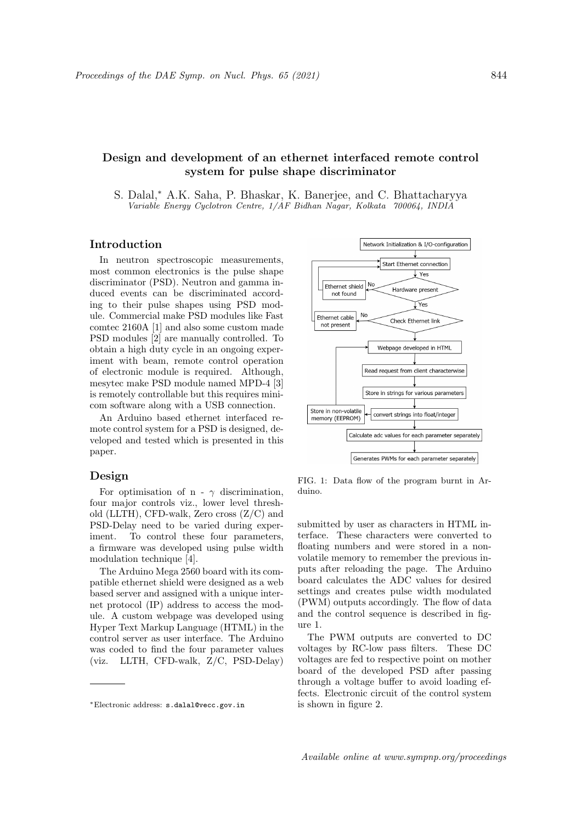# Design and development of an ethernet interfaced remote control system for pulse shape discriminator

S. Dalal,<sup>∗</sup> A.K. Saha, P. Bhaskar, K. Banerjee, and C. Bhattacharyya Variable Energy Cyclotron Centre, 1/AF Bidhan Nagar, Kolkata 700064, INDIA

#### Introduction

In neutron spectroscopic measurements, most common electronics is the pulse shape discriminator (PSD). Neutron and gamma induced events can be discriminated according to their pulse shapes using PSD module. Commercial make PSD modules like Fast comtec 2160A [1] and also some custom made PSD modules [2] are manually controlled. To obtain a high duty cycle in an ongoing experiment with beam, remote control operation of electronic module is required. Although, mesytec make PSD module named MPD-4 [3] is remotely controllable but this requires minicom software along with a USB connection.

An Arduino based ethernet interfaced remote control system for a PSD is designed, developed and tested which is presented in this paper.

### Design

For optimisation of n -  $\gamma$  discrimination, four major controls viz., lower level threshold (LLTH), CFD-walk, Zero cross (Z/C) and PSD-Delay need to be varied during experiment. To control these four parameters, a firmware was developed using pulse width modulation technique [4].

The Arduino Mega 2560 board with its compatible ethernet shield were designed as a web based server and assigned with a unique internet protocol (IP) address to access the module. A custom webpage was developed using Hyper Text Markup Language (HTML) in the control server as user interface. The Arduino was coded to find the four parameter values (viz. LLTH, CFD-walk, Z/C, PSD-Delay)



FIG. 1: Data flow of the program burnt in Arduino.

submitted by user as characters in HTML interface. These characters were converted to floating numbers and were stored in a nonvolatile memory to remember the previous inputs after reloading the page. The Arduino board calculates the ADC values for desired settings and creates pulse width modulated (PWM) outputs accordingly. The flow of data and the control sequence is described in figure 1.

The PWM outputs are converted to DC voltages by RC-low pass filters. These DC voltages are fed to respective point on mother board of the developed PSD after passing through a voltage buffer to avoid loading effects. Electronic circuit of the control system is shown in figure 2.

<sup>∗</sup>Electronic address: s.dalal@vecc.gov.in